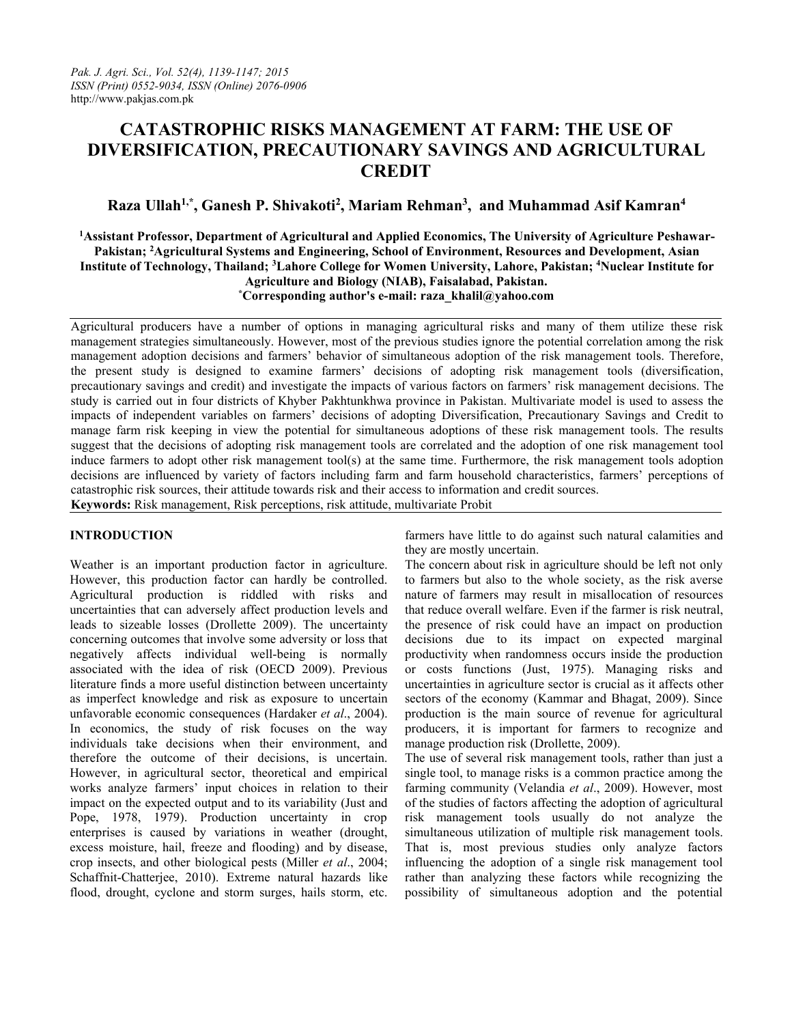# **CATASTROPHIC RISKS MANAGEMENT AT FARM: THE USE OF DIVERSIFICATION, PRECAUTIONARY SAVINGS AND AGRICULTURAL CREDIT**

## **Raza Ullah1,\* , Ganesh P. Shivakoti<sup>2</sup> , Mariam Rehman<sup>3</sup> , and Muhammad Asif Kamran<sup>4</sup>**

**<sup>1</sup>Assistant Professor, Department of Agricultural and Applied Economics, The University of Agriculture Peshawar-Pakistan; <sup>2</sup>Agricultural Systems and Engineering, School of Environment, Resources and Development, Asian** Institute of Technology, Thailand; <sup>3</sup>Lahore College for Women University, Lahore, Pakistan; <sup>4</sup>Nuclear Institute for **Agriculture and Biology (NIAB), Faisalabad, Pakistan. \*Corresponding author's e-mail: raza\_khalil@yahoo.com**

Agricultural producers have a number of options in managing agricultural risks and many of them utilize these risk management strategies simultaneously. However, most of the previous studies ignore the potential correlation among the risk management adoption decisions and farmers' behavior of simultaneous adoption of the risk management tools. Therefore, the present study is designed to examine farmers' decisions of adopting risk management tools (diversification, precautionary savings and credit) and investigate the impacts of various factors on farmers' risk management decisions. The study is carried out in four districts of Khyber Pakhtunkhwa province in Pakistan. Multivariate model is used to assess the impacts of independent variables on farmers' decisions of adopting Diversification, Precautionary Savings and Credit to manage farm risk keeping in view the potential for simultaneous adoptions of these risk management tools. The results suggest that the decisions of adopting risk management tools are correlated and the adoption of one risk management tool induce farmers to adopt other risk management tool(s) at the same time. Furthermore, the risk management tools adoption decisions are influenced by variety of factors including farm and farm household characteristics, farmers' perceptions of catastrophic risk sources, their attitude towards risk and their access to information and creditsources. **Keywords:** Risk management, Risk perceptions, risk attitude, multivariate Probit

### **INTRODUCTION**

Weather is an important production factor in agriculture. However, this production factor can hardly be controlled. Agricultural production is riddled with risks and uncertainties that can adversely affect production levels and leads to sizeable losses (Drollette 2009). The uncertainty concerning outcomes that involve some adversity or loss that negatively affects individual well-being is normally associated with the idea of risk (OECD 2009). Previous literature finds a more useful distinction between uncertainty as imperfect knowledge and risk as exposure to uncertain unfavorable economic consequences (Hardaker *etal*., 2004). In economics, the study of risk focuses on the way individuals take decisions when their environment, and therefore the outcome of their decisions, is uncertain. However, in agricultural sector, theoretical and empirical works analyze farmers' input choices in relation to their impact on the expected output and to its variability (Just and Pope, 1978, 1979). Production uncertainty in crop enterprises is caused by variations in weather (drought, excess moisture, hail, freeze and flooding) and by disease, crop insects, and other biological pests (Miller *et al.*, 2004; Schaffnit-Chatterjee, 2010). Extreme natural hazards like flood, drought, cyclone and storm surges, hails storm, etc.

farmers have little to do against such natural calamities and they are mostly uncertain.

The concern about risk in agriculture should be left not only to farmers but also to the whole society, as the risk averse nature of farmers may result in misallocation of resources that reduce overall welfare. Even if the farmer is risk neutral, the presence of risk could have an impact on production decisions due to its impact on expected marginal productivity when randomness occurs inside the production or costs functions (Just, 1975). Managing risks and uncertainties in agriculture sector is crucial as it affects other sectors of the economy (Kammar and Bhagat, 2009). Since production is the main source of revenue for agricultural producers, it is important for farmers to recognize and manage production risk (Drollette, 2009).

The use of several risk management tools, rather than just a single tool, to manage risks is a common practice among the farming community (Velandia *et al*., 2009). However, most of the studies of factors affecting the adoption of agricultural risk management tools usually do not analyze the simultaneous utilization of multiple risk management tools. That is, most previous studies only analyze factors influencing the adoption of a single risk management tool rather than analyzing these factors while recognizing the possibility of simultaneous adoption and the potential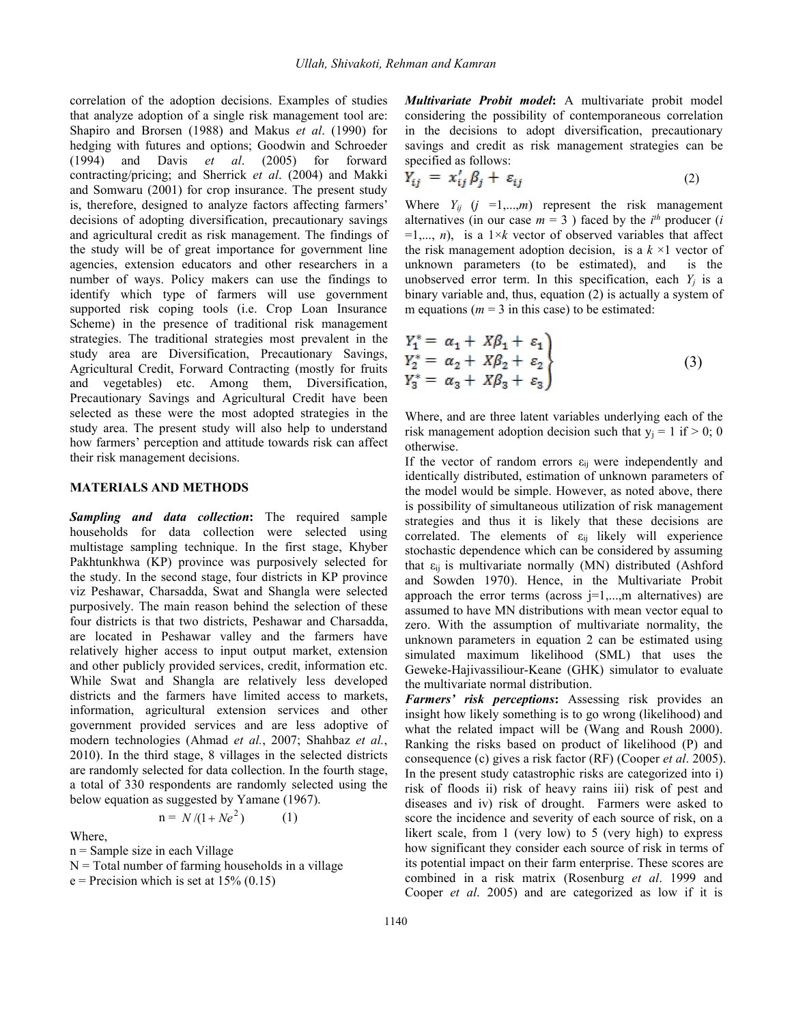correlation of the adoption decisions. Examples of studies that analyze adoption of a single risk management tool are: Shapiro and Brorsen (1988) and Makus *et al*. (1990) for hedging with futures and options; Goodwin and Schroeder (1994) and Davis *et al*. (2005) for forward specified as follows: contracting/pricing; and Sherrick *et al*. (2004) and Makki and Somwaru (2001) for crop insurance. The present study is, therefore, designed to analyze factors affecting farmers' decisions of adopting diversification, precautionary savings and agricultural credit as risk management. The findings of the study will be of great importance for government line agencies, extension educators and other researchers in a number of ways. Policy makers can use the findings to identify which type of farmers will use government supported risk coping tools (i.e. Crop Loan Insurance Scheme) in the presence of traditional risk management strategies. The traditional strategies most prevalent in the study area are Diversification, Precautionary Savings, Agricultural Credit, Forward Contracting (mostly for fruits and vegetables) etc. Among them, Diversification, Precautionary Savings and Agricultural Credit have been selected as these were the most adopted strategies in the study area. The present study will also help to understand how farmers' perception and attitude towards risk can affect their risk management decisions.

#### **MATERIALS AND METHODS**

*Sampling and data collection***:** The required sample households for data collection were selected using multistage sampling technique. In the first stage, Khyber Pakhtunkhwa (KP) province was purposively selected for the study. In the second stage, four districts in KP province viz Peshawar, Charsadda, Swat and Shangla were selected purposively. The main reason behind the selection of these four districts is that two districts, Peshawar and Charsadda, are located in Peshawar valley and the farmers have relatively higher access to input output market, extension and other publicly provided services, credit, information etc. While Swat and Shangla are relatively less developed districts and the farmers have limited access to markets, information, agricultural extension services and other government provided services and are less adoptive of modern technologies (Ahmad *et al.*, 2007; Shahbaz *et al.*, 2010). In the third stage, 8 villages in the selected districts are randomly selected for data collection. In the fourth stage, a total of 330 respondents are randomly selected using the below equation as suggested by Yamane (1967).

$$
n = N/(1 + Ne^2) \tag{1}
$$

Where,

n = Sample size in each Village

 $N =$ Total number of farming households in a village

 $e$  = Precision which is set at 15% (0.15)

*Multivariate Probit model*: A multivariate probit model considering the possibility of contemporaneous correlation in the decisions to adopt diversification, precautionary savings and credit as risk management strategies can be

$$
Y_{ij} = x'_{ij} \beta_j + \varepsilon_{ij} \tag{2}
$$

Where  $Y_{ij}$  ( $j = 1,...,m$ ) represent the risk management alternatives (in our case  $m = 3$ ) faced by the  $i<sup>th</sup>$  producer (*i*  $=1,..., n$ , is a  $1\times k$  vector of observed variables that affect the risk management adoption decision, is a  $k \times 1$  vector of unknown parameters (to be estimated), and is the unobserved error term. In this specification, each  $Y_i$  is a binary variable and, thus, equation (2) is actually a system of m equations ( $m = 3$  in this case) to be estimated:

$$
Y_1^* = \alpha_1 + X\beta_1 + \varepsilon_1
$$
  
\n
$$
Y_2^* = \alpha_2 + X\beta_2 + \varepsilon_2
$$
  
\n
$$
Y_3^* = \alpha_3 + X\beta_3 + \varepsilon_3
$$
\n(3)

Where, and are three latent variables underlying each of the risk management adoption decision such that  $y_j = 1$  if  $> 0$ ; 0 otherwise.

If the vector of random errors  $\varepsilon_{ij}$  were independently and identically distributed, estimation of unknown parameters of the model would be simple. However, as noted above, there is possibility of simultaneous utilization of risk management strategies and thus it is likely that these decisions are correlated. The elements of  $\varepsilon_{ij}$  likely will experience stochastic dependence which can be considered by assuming that  $\varepsilon_{ii}$  is multivariate normally (MN) distributed (Ashford and Sowden 1970). Hence, in the Multivariate Probit approach the error terms (across  $j=1,...,m$  alternatives) are assumed to have MN distributions with mean vector equal to zero. With the assumption of multivariate normality, the unknown parameters in equation 2 can be estimated using simulated maximum likelihood (SML) that uses the Geweke-Hajivassiliour-Keane (GHK) simulator to evaluate the multivariate normal distribution.

 $n = N/(1 + Ne<sup>2</sup>)$  (1) score the incidence and severity of each source of risk, on a *Farmers' risk perceptions***:** Assessing risk provides an insight how likely something is to go wrong (likelihood) and what the related impact will be (Wang and Roush 2000). Ranking the risks based on product of likelihood (P) and consequence (c) gives a risk factor (RF) (Cooper *et al*. 2005). In the present study catastrophic risks are categorized into i) risk of floods ii) risk of heavy rains iii) risk of pest and diseases and iv) risk of drought. Farmers were asked to likert scale, from 1 (very low) to 5 (very high) to express how significant they consider each source of risk in terms of its potential impact on their farm enterprise. These scores are combined in arisk matrix (Rosenburg *et al*. 1999 and Cooper *et al*. 2005) and are categorized as low if it is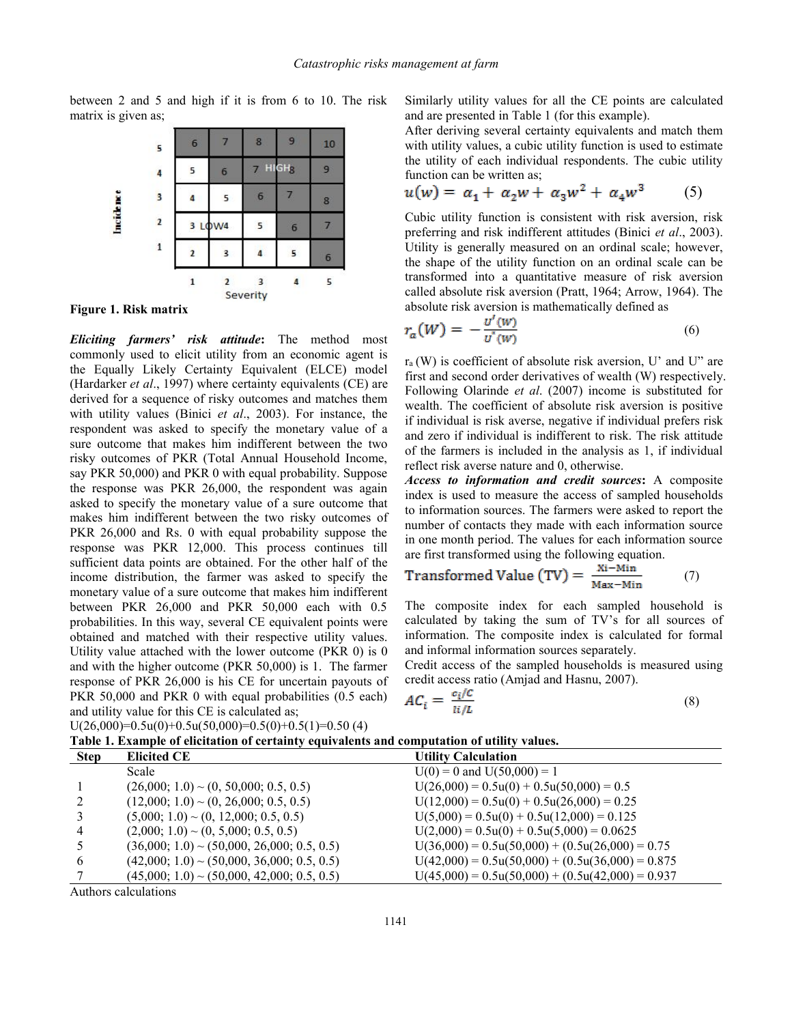between 2 and 5 and high if it is from 6 to 10. The risk matrix is given as;



**Figure 1. Risk matrix**

*Eliciting farmers' risk attitude***:** The method most commonly used to elicit utility from an economic agent is the Equally Likely Certainty Equivalent (ELCE) model (Hardarker *et al*., 1997) where certainty equivalents (CE) are derived for a sequence of risky outcomes and matches them with utility values (Binici *et al*., 2003). For instance, the respondent was asked to specify the monetary value of a sure outcome that makes him indifferent between the two risky outcomes of PKR (Total Annual Household Income, say PKR 50,000) and PKR 0 with equal probability. Suppose the response was PKR 26,000, the respondent was again asked to specify the monetary value of a sure outcome that makes him indifferent between the two risky outcomes of PKR 26,000 and Rs. 0 with equal probability suppose the response was PKR 12,000. This process continues till sufficient data points are obtained. For the other half of the income distribution, the farmer was asked to specify the monetary value of a sure outcome that makes him indifferent between PKR 26,000 and PKR 50,000 each with 0.5 probabilities. In this way, several CE equivalent points were obtained and matched with their respective utility values. Utility value attached with the lower outcome (PKR 0) is 0 and with the higher outcome (PKR 50,000) is 1. The farmer response of PKR  $26,000$  is his CE for uncertain payouts of PKR 50,000 and PKR 0 with equal probabilities (0.5 each) and utility value for this CE is calculated as;

 $U(26,000)=0.5u(0)+0.5u(50,000)=0.5(0)+0.5(1)=0.50(4)$ 

Similarly utility values for all the CE points are calculated and are presented in Table 1 (for this example).

After deriving several certainty equivalents and match them with utility values, a cubic utility function is used to estimate the utility of each individual respondents. The cubic utility function can be written as;

$$
u(w) = \alpha_1 + \alpha_2 w + \alpha_3 w^2 + \alpha_4 w^3 \tag{5}
$$

Cubic utility function is consistent with risk aversion, risk preferring and risk indifferent attitudes (Binici *et al*., 2003). Utility is generally measured on an ordinal scale; however, the shape of the utility function on an ordinal scale can be transformed into aquantitative measure of risk aversion called absolute risk aversion (Pratt, 1964; Arrow, 1964). The absolute risk aversion is mathematically defined as

$$
r_a(W) = -\frac{U'(W)}{U'(W)}\tag{6}
$$

 $r_a(W)$  is coefficient of absolute risk aversion, U' and U" are first and second order derivatives of wealth (W) respectively. Following Olarinde *et al*. (2007) income is substituted for wealth. The coefficient of absolute risk aversion is positive if individual is risk averse, negative if individual prefers risk and zero if individual is indifferent to risk. The risk attitude of the farmers is included in the analysis as 1, if individual reflect risk averse nature and 0, otherwise.

*Access to information and credit sources***:** A composite index is used to measure the access of sampled households to information sources. The farmers were asked to report the number of contacts they made with each information source in one month period. The values for each information source are first transformed using the following equation.

$$
Transformed Value (TV) = \frac{Xi - Min}{Max - Min} \qquad (7)
$$

The composite index for each sampled household is calculated by taking the sum of TV's for all sources of information. The composite index is calculated for formal and informal information sources separately.

Credit access of the sampled households is measured using credit access ratio (Amjad and Hasnu,2007).

$$
AC_i = \frac{c_i/C}{i_i/L} \tag{8}
$$

| Table 1. Example of elicitation of certainty equivalents and computation of utility values. |                                                |                                                    |  |  |  |  |  |
|---------------------------------------------------------------------------------------------|------------------------------------------------|----------------------------------------------------|--|--|--|--|--|
| <b>Step</b>                                                                                 | <b>Elicited CE</b>                             | <b>Utility Calculation</b>                         |  |  |  |  |  |
|                                                                                             | Scale                                          | $U(0) = 0$ and $U(50,000) = 1$                     |  |  |  |  |  |
|                                                                                             | $(26,000; 1.0)$ ~ $(0, 50,000; 0.5, 0.5)$      | $U(26,000) = 0.5u(0) + 0.5u(50,000) = 0.5$         |  |  |  |  |  |
|                                                                                             | $(12,000; 1.0) \sim (0, 26,000; 0.5, 0.5)$     | $U(12,000) = 0.5u(0) + 0.5u(26,000) = 0.25$        |  |  |  |  |  |
|                                                                                             | $(5,000; 1.0) \sim (0, 12,000; 0.5, 0.5)$      | $U(5,000) = 0.5u(0) + 0.5u(12,000) = 0.125$        |  |  |  |  |  |
| 4                                                                                           | $(2,000; 1.0) \sim (0, 5,000; 0.5, 0.5)$       | $U(2,000) = 0.5u(0) + 0.5u(5,000) = 0.0625$        |  |  |  |  |  |
|                                                                                             | $(36,000; 1.0)$ ~ $(50,000; 26,000; 0.5, 0.5)$ | $U(36,000) = 0.5u(50,000) + (0.5u(26,000) = 0.75$  |  |  |  |  |  |
| 6                                                                                           | $(42,000; 1.0)$ ~ $(50,000, 36,000; 0.5, 0.5)$ | $U(42,000) = 0.5u(50,000) + (0.5u(36,000) = 0.875$ |  |  |  |  |  |
|                                                                                             | $(45,000; 1.0)$ ~ $(50,000, 42,000; 0.5, 0.5)$ | $U(45,000) = 0.5u(50,000) + (0.5u(42,000) = 0.937$ |  |  |  |  |  |
|                                                                                             |                                                |                                                    |  |  |  |  |  |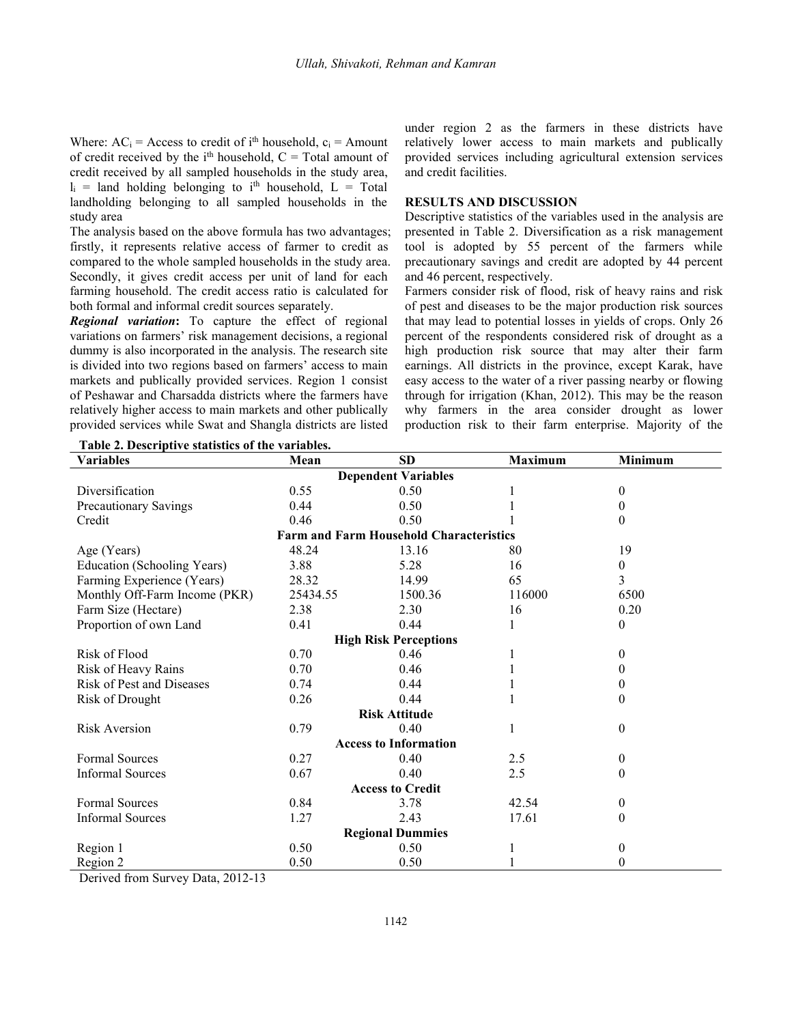Where:  $AC_i$  = Access to credit of i<sup>th</sup> household,  $c_i$  = Amount relatively low of credit received by the  $i<sup>th</sup>$  household,  $C = Total$  amount of provided set credit received by all sampled households in the study area,  $l_i$  = land holding belonging to i<sup>th</sup> household, L = Total landholding belonging to all sampled households in the study area

The analysis based on the above formula has two advantages; firstly, it represents relative access of farmer to credit as compared to the whole sampled households in the study area. Secondly, it gives credit access per unit of land for each farming household.The credit access ratio is calculated for both formal and informal credit sources separately.

*Regional variation***:** To capture the effect of regional variations on farmers' risk management decisions, a regional dummy is also incorporated in the analysis. The research site is divided into two regions based on farmers' access to main markets and publically provided services. Region 1 consist of Peshawar and Charsadda districts where the farmers have relatively higher access to main markets and other publically provided services while Swat and Shangla districts are listed

under region 2 as the farmers in these districts have relatively lower access to main markets and publically provided services including agricultural extension services and credit facilities.

#### **RESULTS AND DISCUSSION**

Descriptive statistics of the variables used in the analysis are presented in Table 2. Diversification as a risk management tool is adopted by 55 percent of the farmers while precautionary savings and credit are adopted by 44 percent and 46 percent, respectively.

Farmers consider risk of flood, risk of heavy rains and risk of pest and diseases to be the major production risk sources that may lead to potential losses in yields of crops. Only 26 percent of the respondents considered risk of drought as a high production risk source that may alter their farm earnings. All districts in the province, except Karak, have easy access to the water of a river passing nearby or flowing through for irrigation (Khan, 2012). This may be the reason why farmers in the area consider drought as lower production risk to their farm enterprise. Majority of the

| Table 2. Descriptive statistics of the variables. |          |                                                |                |                  |
|---------------------------------------------------|----------|------------------------------------------------|----------------|------------------|
| <b>Variables</b>                                  | Mean     | <b>SD</b>                                      | <b>Maximum</b> | Minimum          |
|                                                   |          | <b>Dependent Variables</b>                     |                |                  |
| Diversification                                   | 0.55     | 0.50                                           |                | 0                |
| Precautionary Savings                             | 0.44     | 0.50                                           |                | 0                |
| Credit                                            | 0.46     | 0.50                                           |                | 0                |
|                                                   |          | <b>Farm and Farm Household Characteristics</b> |                |                  |
| Age (Years)                                       | 48.24    | 13.16                                          | 80             | 19               |
| Education (Schooling Years)                       | 3.88     | 5.28                                           | 16             | 0                |
| Farming Experience (Years)                        | 28.32    | 14.99                                          | 65             | 3                |
| Monthly Off-Farm Income (PKR)                     | 25434.55 | 1500.36                                        | 116000         | 6500             |
| Farm Size (Hectare)                               | 2.38     | 2.30                                           | 16             | 0.20             |
| Proportion of own Land                            | 0.41     | 0.44                                           |                | 0                |
|                                                   |          | <b>High Risk Perceptions</b>                   |                |                  |
| <b>Risk of Flood</b>                              | 0.70     | 0.46                                           |                | 0                |
| Risk of Heavy Rains                               | 0.70     | 0.46                                           |                | 0                |
| <b>Risk of Pest and Diseases</b>                  | 0.74     | 0.44                                           |                | 0                |
| Risk of Drought                                   | 0.26     | 0.44                                           |                | 0                |
|                                                   |          | <b>Risk Attitude</b>                           |                |                  |
| <b>Risk Aversion</b>                              | 0.79     | 0.40                                           |                | 0                |
|                                                   |          | <b>Access to Information</b>                   |                |                  |
| <b>Formal Sources</b>                             | 0.27     | 0.40                                           | 2.5            | 0                |
| <b>Informal Sources</b>                           | 0.67     | 0.40                                           | 2.5            | 0                |
|                                                   |          | <b>Access to Credit</b>                        |                |                  |
| <b>Formal Sources</b>                             | 0.84     | 3.78                                           | 42.54          | $\boldsymbol{0}$ |
| <b>Informal Sources</b>                           | 1.27     | 2.43                                           | 17.61          | 0                |
|                                                   |          | <b>Regional Dummies</b>                        |                |                  |
| Region 1                                          | 0.50     | 0.50                                           |                | 0                |
| Region 2                                          | 0.50     | 0.50                                           |                | 0                |

<u>(15)</u><br>Derived from Survey Data 2012-13  $A = \frac{1}{2}$ Derived from Survey Data, 2012-13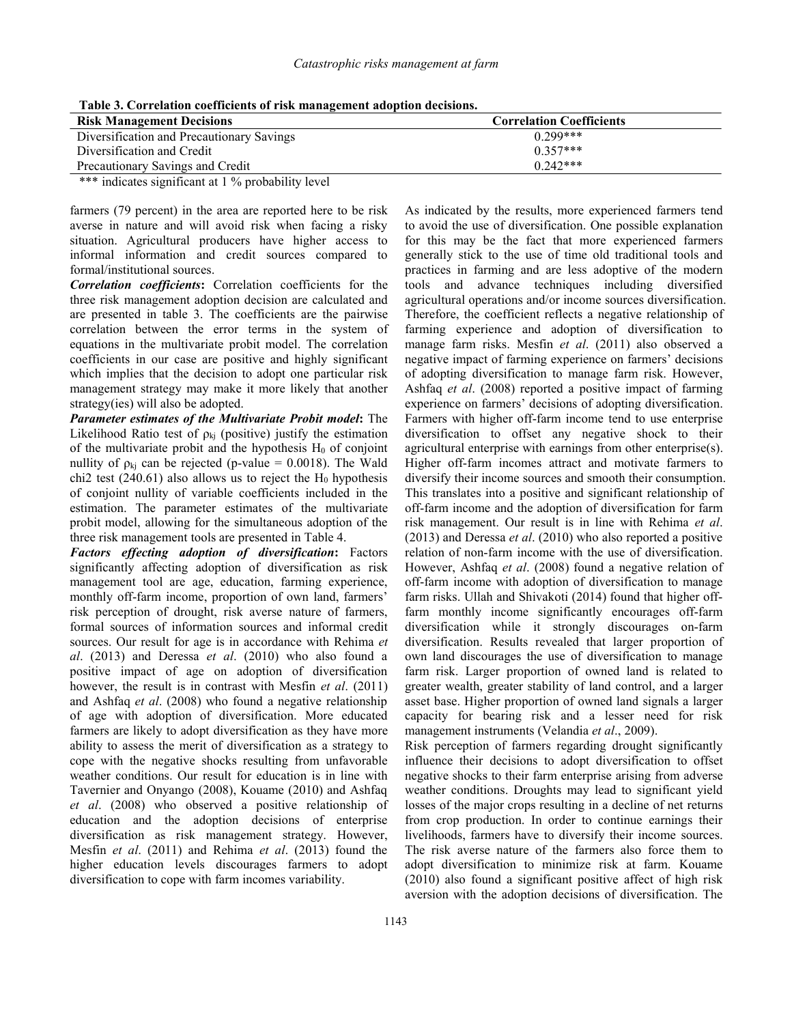| THOIR BY COIL BIRTION BOULINIUM OF LIGHT MINING CHIEFIN HWO PERCH WEDDICHOT |                                 |  |  |  |
|-----------------------------------------------------------------------------|---------------------------------|--|--|--|
| <b>Risk Management Decisions</b>                                            | <b>Correlation Coefficients</b> |  |  |  |
| Diversification and Precautionary Savings                                   | $0.299***$                      |  |  |  |
| Diversification and Credit                                                  | $0.357***$                      |  |  |  |
| Precautionary Savings and Credit                                            | $0.242***$                      |  |  |  |
|                                                                             |                                 |  |  |  |

**Table 3. Correlation coefficients ofrisk management adoption decisions.**

\*\*\* indicates significant at 1 % probability level

farmers (79 percent) in the area are reported here to be risk averse in nature and will avoid risk when facing a risky situation. Agricultural producers have higher access to informal information and credit sources compared to formal/institutional sources.

*Correlation coefficients***:** Correlation coefficients for the three risk management adoption decision are calculated and are presented in table 3. The coefficients are the pairwise correlation between the error terms in the system of equations in the multivariate probit model. The correlation coefficients in our case are positive and highly significant which implies that the decision to adopt one particular risk management strategy may make it more likely that another strategy(ies) will also be adopted.

*Parameter estimates of the Multivariate Probit model***:** The Likelihood Ratio test of  $\rho_{ki}$  (positive) justify the estimation of the multivariate probit and the hypothesis  $H_0$  of conjoint nullity of  $\rho_{ki}$  can be rejected (p-value = 0.0018). The Wald chi2 test (240.61) also allows us to reject the  $H_0$  hypothesis of conjoint nullity of variable coefficients included in the estimation. The parameter estimates of the multivariate probit model, allowing for the simultaneous adoption of the three risk management tools are presented in Table 4.

*Factors effecting adoption of diversification***:** Factors significantly affecting adoption of diversification as risk management tool are age, education, farming experience, monthly off-farm income, proportion of own land, farmers' risk perception of drought, risk averse nature of farmers, formal sources of information sources and informal credit sources. Our result for age is in accordance with Rehima *et al*. (2013) and Deressa *et al*. (2010) who also found a positive impact of age on adoption of diversification however, the result is in contrast with Mesfin *et al*. (2011) and Ashfaq *et al*. (2008) who found a negative relationship of age with adoption of diversification. More educated farmers are likely to adopt diversification as they have more ability to assess the merit of diversification as a strategy to cope with the negative shocks resulting from unfavorable weather conditions. Our result for education is in line with Tavernier and Onyango (2008), Kouame (2010) and Ashfaq *et al*. (2008) who observed a positive relationship of education and the adoption decisions of enterprise diversification as risk management strategy. However, Mesfin *et al*. (2011) and Rehima *et al*. (2013) found the higher education levels discourages farmers to adopt diversification to cope with farm incomes variability.

As indicated by the results, more experienced farmers tend to avoid the use of diversification. One possible explanation for this may be the fact that more experienced farmers generally stick to the use of time old traditional tools and practices in farming and are less adoptive of the modern tools and advance techniques including diversified agricultural operations and/or income sources diversification. Therefore, the coefficient reflects a negative relationship of farming experience and adoption of diversification to manage farm risks. Mesfin *et al*. (2011) also observed a negative impact of farming experience on farmers' decisions of adopting diversification to manage farm risk. However, Ashfaq *et al.* (2008) reported a positive impact of farming experience on farmers' decisions of adopting diversification. Farmers with higher off-farm income tend to use enterprise diversification to offset any negative shock to their agricultural enterprise with earnings from other enterprise(s). Higher off-farm incomes attract and motivate farmers to diversify their income sources and smooth their consumption. This translates into a positive and significant relationship of off-farm income and the adoption of diversification for farm risk management. Our result is in line with Rehima *et al*. (2013) and Deressa *et al*. (2010) who also reported a positive relation of non-farm income with the use of diversification. However, Ashfaq *et al*. (2008) found a negative relation of off-farm income with adoption of diversification to manage farm risks. Ullah and Shivakoti (2014) found that higher offfarm monthly income significantly encourages off-farm diversification while it strongly discourages on-farm diversification. Results revealed that larger proportion of own land discourages the use of diversification to manage farm risk. Larger proportion of owned land is related to greater wealth, greater stability of land control, and a larger asset base. Higher proportion of owned land signals a larger capacity for bearing risk and a lesser need for risk management instruments (Velandia *et al*., 2009).

Risk perception of farmers regarding drought significantly influence their decisions to adopt diversification to offset negative shocks to their farm enterprise arising from adverse weather conditions. Droughts may lead to significant yield losses of the major crops resulting in a decline of net returns from crop production. In order to continue earnings their livelihoods, farmers have to diversify their income sources. The risk averse nature of the farmers also force them to adopt diversification to minimize risk at farm. Kouame (2010) also found a significant positive affect of high risk aversion with the adoption decisions of diversification. The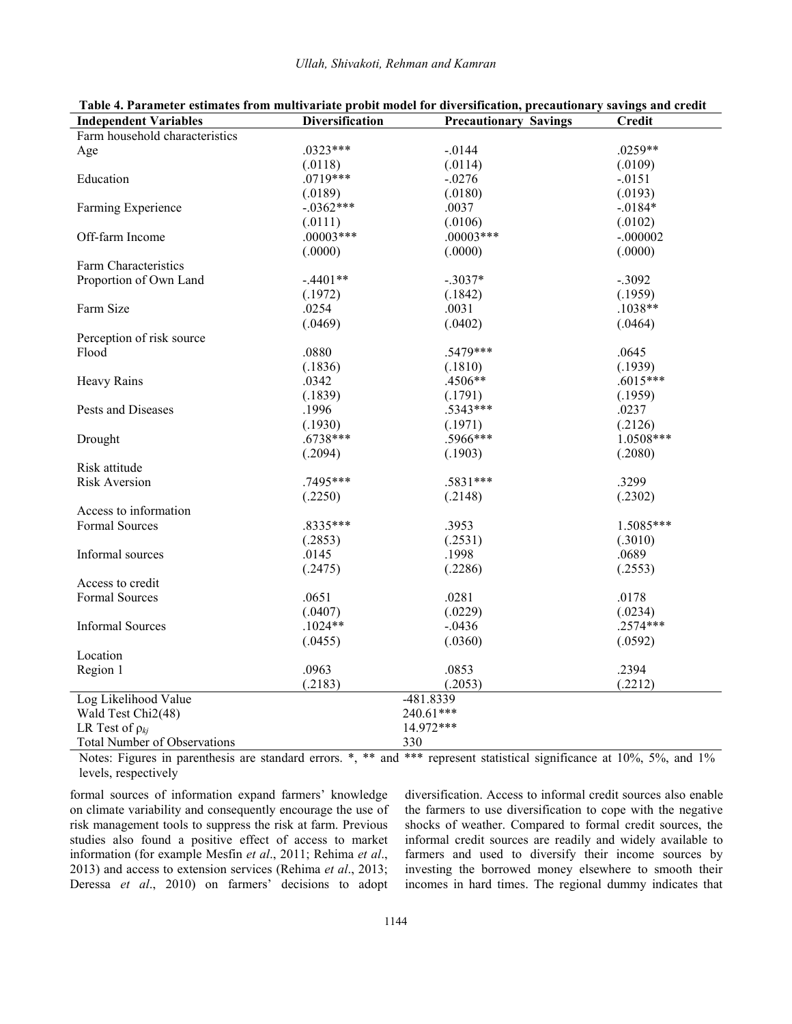| <b>Independent Variables</b>   | <b>Diversification</b> | <b>Precautionary Savings</b> | <b>Credit</b> |
|--------------------------------|------------------------|------------------------------|---------------|
| Farm household characteristics |                        |                              |               |
| Age                            | $.0323***$             | $-0144$                      | $.0259**$     |
|                                | (.0118)                | (.0114)                      | (.0109)       |
| Education                      | $.0719***$             | $-.0276$                     | $-0151$       |
|                                | (.0189)                | (.0180)                      | (.0193)       |
| Farming Experience             | $-.0362***$            | .0037                        | $-0.0184*$    |
|                                | (.0111)                | (.0106)                      | (.0102)       |
| Off-farm Income                | $.00003***$            | $.00003***$                  | $-.000002$    |
|                                | (.0000)                | (.0000)                      | (.0000)       |
| Farm Characteristics           |                        |                              |               |
| Proportion of Own Land         | $-.4401**$             | $-.3037*$                    | $-.3092$      |
|                                | (.1972)                | (.1842)                      | (.1959)       |
| Farm Size                      | .0254                  | .0031                        | $.1038**$     |
|                                | (.0469)                | (.0402)                      | (.0464)       |
| Perception of risk source      |                        |                              |               |
| Flood                          | .0880                  | .5479***                     | .0645         |
|                                | (.1836)                | (.1810)                      | (.1939)       |
| <b>Heavy Rains</b>             | .0342                  | .4506**                      | $.6015***$    |
|                                | (.1839)                | (.1791)                      | (.1959)       |
| Pests and Diseases             | .1996                  | $.5343***$                   | .0237         |
|                                | (.1930)                | (.1971)                      | (.2126)       |
| Drought                        | $.6738***$             | .5966***                     | 1.0508***     |
|                                | (.2094)                | (.1903)                      | (.2080)       |
| Risk attitude                  |                        |                              |               |
| <b>Risk Aversion</b>           | .7495***               | .5831***                     | .3299         |
|                                | (.2250)                | (.2148)                      | (.2302)       |
| Access to information          |                        |                              |               |
| <b>Formal Sources</b>          | .8335***               | .3953                        | 1.5085***     |
|                                | (.2853)                | (.2531)                      | (.3010)       |
| Informal sources               | .0145                  | .1998                        | .0689         |
|                                | (.2475)                | (.2286)                      | (.2553)       |
| Access to credit               |                        |                              |               |
| Formal Sources                 | .0651                  | .0281                        | .0178         |
|                                | (.0407)                | (.0229)                      | (.0234)       |
| <b>Informal Sources</b>        | $.1024**$              | $-.0436$                     | $.2574***$    |
|                                | (.0455)                | (.0360)                      | (.0592)       |
| Location                       |                        |                              |               |
| Region 1                       | .0963                  | .0853                        | .2394         |
|                                | (.2183)                | (.2053)                      | (.2212)       |
|                                |                        | -481.8339                    |               |
| Log Likelihood Value           |                        |                              |               |
| Wald Test Chi2(48)             | 240.61***<br>14.972*** |                              |               |
| LR Test of $\rho_{kj}$         |                        |                              |               |
| Total Number of Observations   |                        | 330                          |               |

**Table 4. Parameter estimates from multivariate probit model for diversification, precautionary savings and credit Independent Variables Diversification Precautionary Savings Credit**

Notes: Figures in parenthesis are standard errors. \*, \*\* and \*\*\* represent statistical significance at 10%, 5%, and 1% levels, respectively

formal sources of information expand farmers' knowledge on climate variability and consequently encourage the use of risk management tools to suppress the risk at farm. Previous studies also found a positive effect of access to market information (for example Mesfin *et al*., 2011; Rehima *et al*., 2013) and access to extension services (Rehima *et al*., 2013; Deressa *et al*., 2010) on farmers' decisions to adopt

diversification. Access to informal credit sources also enable the farmers to use diversification to cope with the negative shocks of weather. Compared to formal credit sources, the informal credit sources are readily and widely available to farmers and used to diversify their income sources by investing the borrowed money elsewhere to smooth their incomes in hard times. The regional dummy indicates that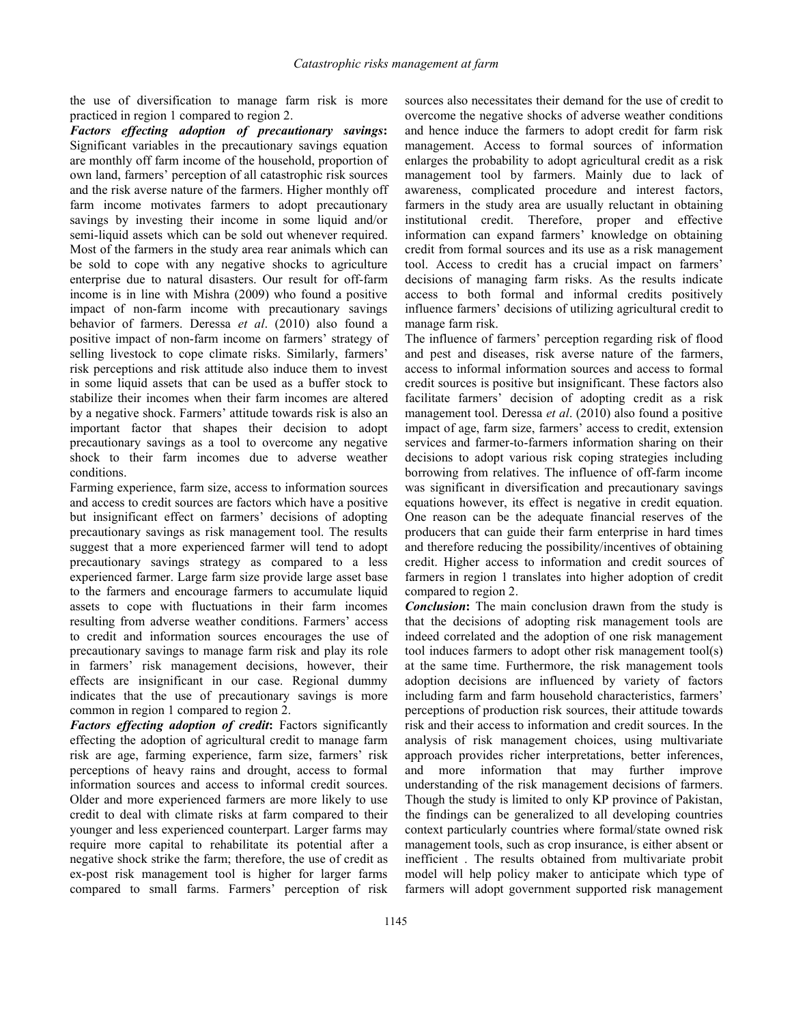the use of diversification to manage farm risk is more practiced in region 1 compared to region 2.

*Factors effecting adoption of precautionary savings***:** Significant variables in the precautionary savings equation are monthly off farm income of the household, proportion of own land, farmers' perception of all catastrophic risk sources and the risk averse nature of the farmers. Higher monthly off farm income motivates farmers to adopt precautionary savings by investing their income in some liquid and/or semi-liquid assets which can be sold out whenever required. Most of the farmers in the study area rear animals which can be sold to cope with any negative shocks to agriculture enterprise due to natural disasters. Our result for off-farm income is in line with Mishra (2009) who found a positive impact of non-farm income with precautionary savings behavior of farmers. Deressa *et al*. (2010) also found a positive impact of non-farm income on farmers' strategy of selling livestock to cope climate risks. Similarly, farmers' risk perceptions and risk attitude also induce them to invest in some liquid assets that can be used as a buffer stock to stabilize their incomes when their farm incomes are altered by a negative shock. Farmers' attitude towards risk is also an important factor that shapes their decision to adopt precautionary savings as a tool to overcome any negative shock to their farm incomes due to adverse weather conditions.

Farming experience, farm size, access to information sources and access to credit sources are factors which have a positive but insignificant effect on farmers' decisions of adopting precautionary savings as risk management tool. The results suggest that a more experienced farmer will tend to adopt precautionary savings strategy as compared to a less experienced farmer. Large farm size provide large asset base to the farmers and encourage farmers to accumulate liquid assets to cope with fluctuations in their farm incomes resulting from adverse weather conditions. Farmers' access to credit and information sources encourages the use of precautionary savings to manage farm risk and play its role in farmers' risk management decisions, however, their effects are insignificant in our case. Regional dummy indicates that the use of precautionary savings is more common in region 1 compared to region 2.

*Factors effecting adoption of credit***:** Factors significantly effecting the adoption of agricultural credit to manage farm risk are age, farming experience, farm size, farmers' risk perceptions of heavy rains and drought, access to formal information sources and access to informal credit sources. Older and more experienced farmers are more likely to use credit to deal with climate risks at farm compared to their younger and less experienced counterpart. Larger farms may require more capital to rehabilitate its potential after a negative shock strike the farm; therefore, the use of credit as ex-post risk management tool is higher for larger farms compared to small farms. Farmers' perception of risk

sources also necessitates their demand for the use of credit to overcome the negative shocks of adverse weather conditions and hence induce the farmers to adopt credit for farm risk management. Access to formal sources of information enlarges the probability to adopt agricultural credit as a risk management tool by farmers. Mainly due to lack of awareness, complicated procedure and interest factors, farmers in the study area are usually reluctant in obtaining institutional credit. Therefore, proper and effective information can expand farmers' knowledge on obtaining credit from formal sources and its use as a risk management tool. Access to credit has a crucial impact on farmers' decisions of managing farm risks. As the results indicate access to both formal and informal credits positively influence farmers' decisions of utilizing agricultural credit to manage farm risk.

The influence of farmers' perception regarding risk of flood and pest and diseases, risk averse nature of the farmers, access to informal information sources and access to formal credit sources is positive but insignificant. These factors also facilitate farmers' decision of adopting credit as a risk management tool. Deressa *et al*. (2010) also found a positive impact of age, farm size, farmers' access to credit, extension services and farmer-to-farmers information sharing on their decisions to adopt various risk coping strategies including borrowing from relatives. The influence of off-farm income was significant in diversification and precautionary savings equations however, its effect is negative in credit equation. One reason can be the adequate financial reserves of the producers that can guide their farm enterprise in hard times and therefore reducing the possibility/incentives of obtaining credit. Higher access to information and credit sources of farmers in region 1 translates into higher adoption of credit compared to region 2.

*Conclusion***:** The main conclusion drawn from the study is that the decisions of adopting risk management tools are indeed correlated and the adoption of one risk management tool induces farmers to adopt other risk management tool(s) at the same time. Furthermore, the risk management tools adoption decisions are influenced by variety of factors including farm and farm household characteristics, farmers' perceptions of production risk sources, their attitude towards risk and their access to information and credit sources. In the analysis of risk management choices, using multivariate approach provides richer interpretations, better inferences, and more information that may further improve understanding of the risk management decisions of farmers. Though the study is limited to only KP province of Pakistan, the findings can be generalized to all developing countries context particularly countries where formal/state owned risk management tools, such as crop insurance, is either absent or inefficient . The results obtained from multivariate probit model will help policy maker to anticipate which type of farmers will adopt government supported risk management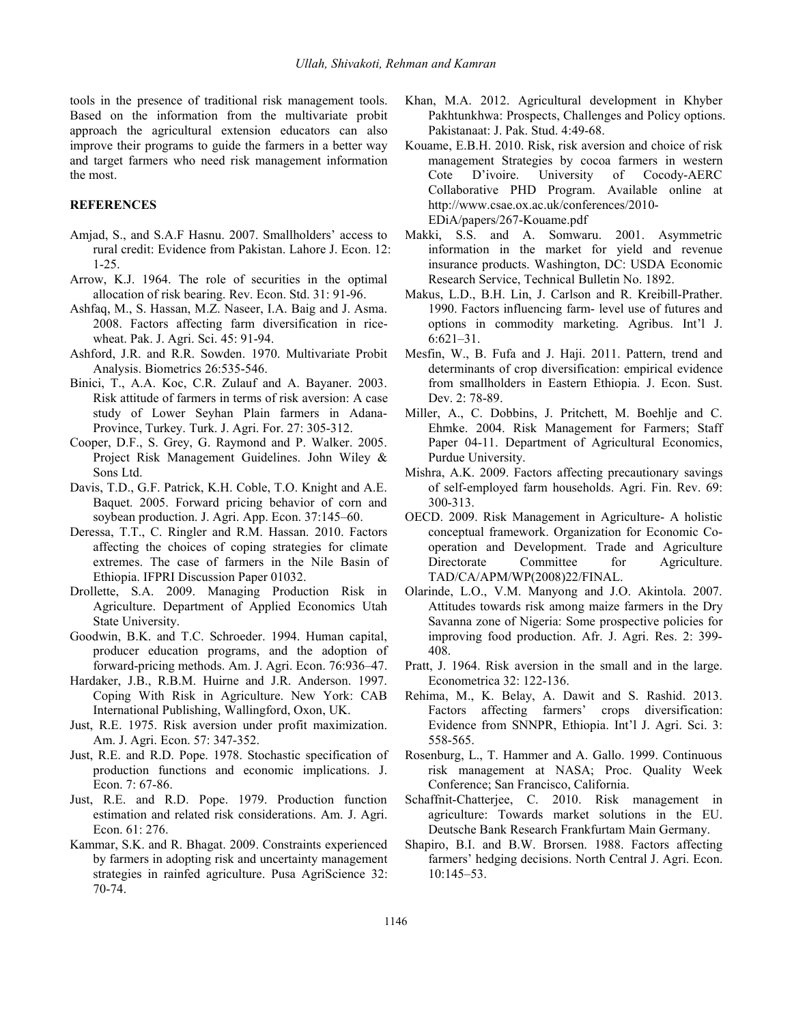tools in the presence of traditional risk management tools. Based on the information from the multivariate probit approach the agricultural extension educators can also improve their programs to guide the farmers in a better way and target farmers who need risk management information the most.

#### **REFERENCES**

- Amjad, S., and S.A.F Hasnu. 2007. Smallholders' access to rural credit: Evidence from Pakistan. Lahore J. Econ. 12: 1-25.
- Arrow, K.J. 1964. The role of securities in the optimal allocation of risk bearing. Rev. Econ. Std. 31: 91-96.
- Ashfaq, M., S. Hassan, M.Z. Naseer, I.A. Baig and J. Asma. 2008. Factors affecting farm diversification in ricewheat. Pak. J. Agri. Sci. 45: 91-94.
- Ashford, J.R. and R.R. Sowden. 1970. Multivariate Probit Analysis. Biometrics 26:535-546.
- Binici, T., A.A. Koc, C.R. Zulauf and A. Bayaner. 2003. Risk attitude of farmers in terms of risk aversion: A case study of Lower Seyhan Plain farmers in Adana-Province, Turkey. Turk. J. Agri. For. 27: 305-312.
- Cooper, D.F., S. Grey, G. Raymond and P. Walker. 2005. Project Risk Management Guidelines. John Wiley & Sons Ltd.
- Davis, T.D., G.F. Patrick, K.H. Coble, T.O. Knight and A.E. Baquet. 2005. Forward pricing behavior of corn and soybean production. J. Agri. App. Econ. 37:145–60.
- Deressa, T.T., C. Ringler and R.M. Hassan. 2010. Factors affecting the choices of coping strategies for climate extremes. The case of farmers in the Nile Basin of Ethiopia. IFPRI Discussion Paper 01032.
- Drollette, S.A. 2009. Managing Production Risk in Agriculture. Department of Applied Economics Utah State University.
- Goodwin, B.K. and T.C. Schroeder. 1994. Human capital, producer education programs, and the adoption of forward-pricing methods. Am. J. Agri. Econ. 76:936–47.
- Hardaker, J.B., R.B.M. Huirne and J.R. Anderson. 1997. Coping With Risk in Agriculture. New York: CAB International Publishing, Wallingford, Oxon, UK.
- Just, R.E. 1975. Risk aversion under profit maximization. Am. J. Agri. Econ. 57: 347-352.
- Just, R.E. and R.D. Pope. 1978. Stochastic specification of production functions and economic implications. J. Econ. 7: 67-86.
- Just, R.E. and R.D. Pope. 1979. Production function estimation and related risk considerations. Am. J. Agri. Econ. 61: 276.
- Kammar, S.K. and R. Bhagat. 2009. Constraints experienced by farmers in adopting risk and uncertainty management strategies in rainfed agriculture. Pusa AgriScience 32: 70-74.
- Khan, M.A. 2012. Agricultural development in Khyber Pakhtunkhwa: Prospects, Challenges and Policy options. Pakistanaat: J. Pak. Stud. 4:49-68.
- Kouame, E.B.H. 2010. Risk, risk aversion and choice of risk management Strategies by cocoa farmers in western Cote D'ivoire. University of Cocody-AERC Collaborative PHD Program. Available online at [http://www.csae.ox.ac.uk/conferences/2010-](http://www.csae.ox.ac.uk/conferences/2010-	EDiA/papers/267-Kouame.pdf) EDiA/papers/267-Kouame.pdf
- Makki, S.S. and A. Somwaru. 2001. Asymmetric information in the market for yield and revenue insurance products. Washington, DC: USDA Economic Research Service, Technical Bulletin No. 1892.
- Makus, L.D., B.H. Lin, J. Carlson and R. Kreibill-Prather. 1990. Factors influencing farm- level use of futures and options in commodity marketing. Agribus. Int'l J. 6:621–31.
- Mesfin, W., B. Fufa and J. Haji. 2011. Pattern, trend and determinants of crop diversification: empirical evidence from smallholders in Eastern Ethiopia. J. Econ. Sust. Dev. 2: 78-89.
- Miller, A., C. Dobbins, J. Pritchett, M. Boehlje and C. Ehmke. 2004. Risk Management for Farmers; Staff Paper 04-11. Department of Agricultural Economics, Purdue University.
- Mishra, A.K. 2009. Factors affecting precautionary savings of self-employed farm households. Agri. Fin. Rev. 69: 300-313.
- OECD. 2009. Risk Management in Agriculture- A holistic conceptual framework. Organization for Economic Cooperation and Development. Trade and Agriculture Committee for Agriculture. TAD/CA/APM/WP(2008)22/FINAL.
- Olarinde, L.O., V.M. Manyong and J.O. Akintola. 2007. Attitudes towards risk among maize farmers in the Dry Savanna zone of Nigeria: Some prospective policies for improving food production. Afr. J. Agri. Res. 2: 399- 408.
- Pratt, J. 1964. Risk aversion in the smalland in the large. Econometrica 32: 122-136.
- Rehima, M., K. Belay, A. Dawit and S. Rashid. 2013. Factors affecting farmers' crops diversification: Evidence from SNNPR, Ethiopia. Int'l J. Agri. Sci. 3: 558-565.
- Rosenburg, L., T. Hammer and A. Gallo. 1999. Continuous risk management at NASA; Proc. Quality Week Conference; San Francisco, California.
- Schaffnit-Chatterjee, C. 2010. Risk management in agriculture: Towards market solutions in the EU. Deutsche Bank Research Frankfurtam Main Germany.
- Shapiro, B.I. and B.W. Brorsen. 1988. Factors affecting farmers' hedging decisions. North Central J. Agri. Econ. 10:145–53.